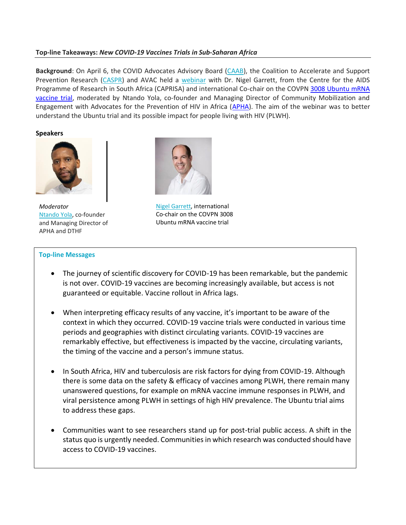### **Top-line Takeaways:** *New COVID-19 Vaccines Trials in Sub-Saharan Africa*

**Background**: On April 6, the COVID Advocates Advisory Board [\(CAAB\)](https://covidadvocates.org/), the Coalition to Accelerate and Support Prevention Research [\(CASPR\)](https://www.avac.org/coalition-accelerate-support-prevention-research-caspr) and AVAC held a [webinar](https://www.youtube.com/watch?v=dxXS-5oo59U&ab_channel=HIVPxResearch) with Dr. Nigel Garrett, from the Centre for the AIDS Programme of Research in South Africa (CAPRISA) and international Co-chair on the COVPN [3008 Ubuntu mRNA](https://www.coronaviruspreventionnetwork.org/ubuntu-vaccine-research-study)  [vaccine trial,](https://www.coronaviruspreventionnetwork.org/ubuntu-vaccine-research-study) moderated by Ntando Yola, co-founder and Managing Director of Community Mobilization and Engagement with Advocates for the Prevention of HIV in Africa [\(APHA\)](https://www.facebook.com/preventHIV/). The aim of the webinar was to better understand the Ubuntu trial and its possible impact for people living with HIV (PLWH).

**Speakers**



*Moderator* [Ntando Yola,](https://www.linkedin.com/in/ntando-yola/?originalSubdomain=za) co-founder and Managing Director of APHA and DTHF



[Nigel Garrett](https://www.linkedin.com/in/nigel-garrett-27256112/?originalSubdomain=za), international Co-chair on the COVPN 3008 Ubuntu mRNA vaccine trial

#### **Top-line Messages**

- The journey of scientific discovery for COVID-19 has been remarkable, but the pandemic is not over. COVID-19 vaccines are becoming increasingly available, but access is not guaranteed or equitable. Vaccine rollout in Africa lags.
- When interpreting efficacy results of any vaccine, it's important to be aware of the context in which they occurred. COVID-19 vaccine trials were conducted in various time periods and geographies with distinct circulating variants. COVID-19 vaccines are remarkably effective, but effectiveness is impacted by the vaccine, circulating variants, the timing of the vaccine and a person's immune status.
- In South Africa, HIV and tuberculosis are risk factors for dying from COVID-19. Although there is some data on the safety & efficacy of vaccines among PLWH, there remain many unanswered questions, for example on mRNA vaccine immune responses in PLWH, and viral persistence among PLWH in settings of high HIV prevalence. The Ubuntu trial aims to address these gaps.
- Communities want to see researchers stand up for post-trial public access. A shift in the status quo is urgently needed. Communities in which research was conducted should have access to COVID-19 vaccines.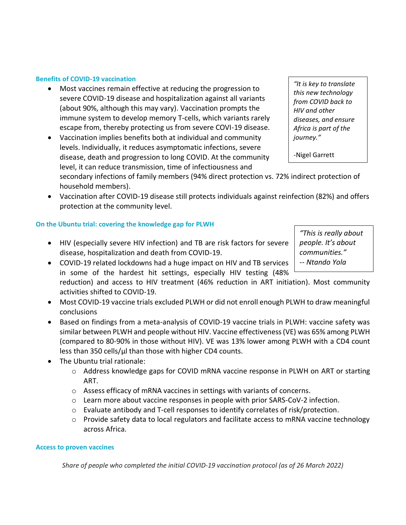### **Benefits of COVID-19 vaccination**

- Most vaccines remain effective at reducing the progression to severe COVID-19 disease and hospitalization against all variants (about 90%, although this may vary). Vaccination prompts the immune system to develop memory T-cells, which variants rarely escape from, thereby protecting us from severe COVI-19 disease.
- Vaccination implies benefits both at individual and community levels. Individually, it reduces asymptomatic infections, severe disease, death and progression to long COVID. At the community level, it can reduce transmission, time of infectiousness and

secondary infections of family members (94% direct protection vs. 72% indirect protection of household members).

• Vaccination after COVID-19 disease still protects individuals against reinfection (82%) and offers protection at the community level.

# **On the Ubuntu trial: covering the knowledge gap for PLWH**

- HIV (especially severe HIV infection) and TB are risk factors for severe disease, hospitalization and death from COVID-19.
- COVID-19 related lockdowns had a huge impact on HIV and TB services in some of the hardest hit settings, especially HIV testing (48%
	- reduction) and access to HIV treatment (46% reduction in ART initiation). Most community activities shifted to COVID-19.
- Most COVID-19 vaccine trials excluded PLWH or did not enroll enough PLWH to draw meaningful conclusions
- Based on findings from a meta-analysis of COVID-19 vaccine trials in PLWH: vaccine safety was similar between PLWH and people without HIV. Vaccine effectiveness (VE) was 65% among PLWH (compared to 80-90% in those without HIV). VE was 13% lower among PLWH with a CD4 count less than 350 cells/µl than those with higher CD4 counts.
- The Ubuntu trial rationale:
	- o Address knowledge gaps for COVID mRNA vaccine response in PLWH on ART or starting ART.
	- o Assess efficacy of mRNA vaccines in settings with variants of concerns.
	- o Learn more about vaccine responses in people with prior SARS-CoV-2 infection.
	- $\circ$  Evaluate antibody and T-cell responses to identify correlates of risk/protection.
	- $\circ$  Provide safety data to local regulators and facilitate access to mRNA vaccine technology across Africa.

## **Access to proven vaccines**

*Share of people who completed the initial COVID-19 vaccination protocol (as of 26 March 2022)*

*"This is really about people. It's about communities." -- Ntando Yola*

*"It is key to translate this new technology from COVID back to HIV and other diseases, and ensure Africa is part of the journey."*

-Nigel Garrett